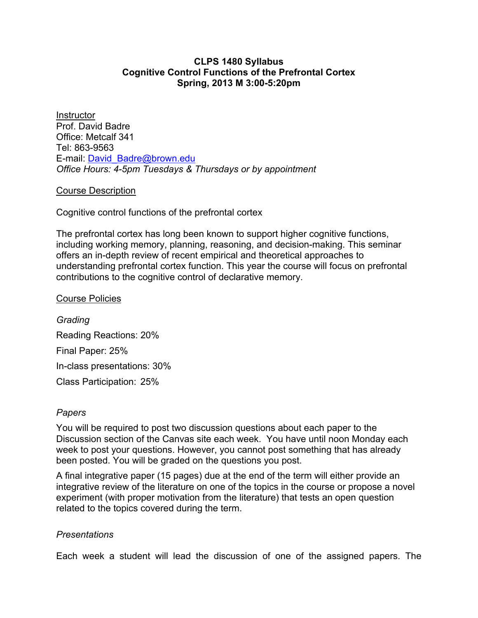# **CLPS 1480 Syllabus Cognitive Control Functions of the Prefrontal Cortex Spring, 2013 M 3:00-5:20pm**

**Instructor** Prof. David Badre Office: Metcalf 341 Tel: 863-9563 E-mail: David\_Badre@brown.edu *Office Hours: 4-5pm Tuesdays & Thursdays or by appointment*

## Course Description

Cognitive control functions of the prefrontal cortex

The prefrontal cortex has long been known to support higher cognitive functions, including working memory, planning, reasoning, and decision-making. This seminar offers an in-depth review of recent empirical and theoretical approaches to understanding prefrontal cortex function. This year the course will focus on prefrontal contributions to the cognitive control of declarative memory.

## Course Policies

*Grading* Reading Reactions: 20% Final Paper: 25% In-class presentations: 30% Class Participation: 25%

### *Papers*

You will be required to post two discussion questions about each paper to the Discussion section of the Canvas site each week. You have until noon Monday each week to post your questions. However, you cannot post something that has already been posted. You will be graded on the questions you post.

A final integrative paper (15 pages) due at the end of the term will either provide an integrative review of the literature on one of the topics in the course or propose a novel experiment (with proper motivation from the literature) that tests an open question related to the topics covered during the term.

# *Presentations*

Each week a student will lead the discussion of one of the assigned papers. The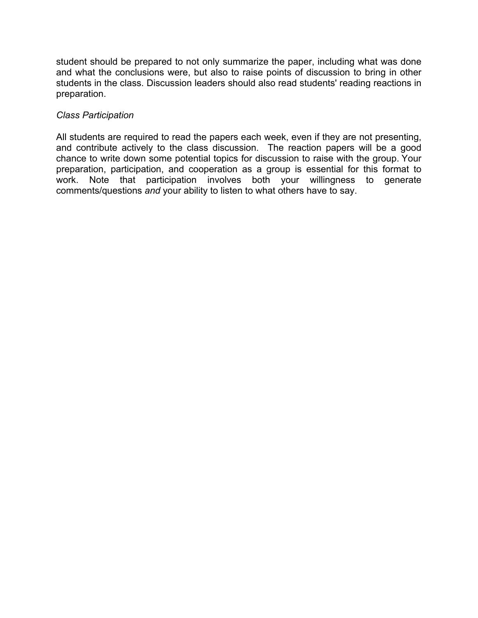student should be prepared to not only summarize the paper, including what was done and what the conclusions were, but also to raise points of discussion to bring in other students in the class. Discussion leaders should also read students' reading reactions in preparation.

# *Class Participation*

All students are required to read the papers each week, even if they are not presenting, and contribute actively to the class discussion. The reaction papers will be a good chance to write down some potential topics for discussion to raise with the group. Your preparation, participation, and cooperation as a group is essential for this format to work. Note that participation involves both your willingness to generate comments/questions *and* your ability to listen to what others have to say.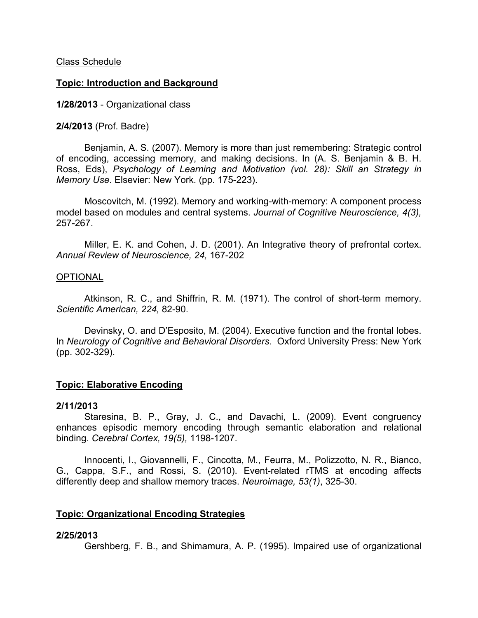Class Schedule

## **Topic: Introduction and Background**

**1/28/2013** - Organizational class

#### **2/4/2013** (Prof. Badre)

Benjamin, A. S. (2007). Memory is more than just remembering: Strategic control of encoding, accessing memory, and making decisions. In (A. S. Benjamin & B. H. Ross, Eds), *Psychology of Learning and Motivation (vol. 28): Skill an Strategy in Memory Use*. Elsevier: New York. (pp. 175-223).

Moscovitch, M. (1992). Memory and working-with-memory: A component process model based on modules and central systems. *Journal of Cognitive Neuroscience, 4(3),* 257-267.

Miller, E. K. and Cohen, J. D. (2001). An Integrative theory of prefrontal cortex. *Annual Review of Neuroscience, 24,* 167-202

#### OPTIONAL

Atkinson, R. C., and Shiffrin, R. M. (1971). The control of short-term memory. *Scientific American, 224,* 82-90.

Devinsky, O. and D'Esposito, M. (2004). Executive function and the frontal lobes. In *Neurology of Cognitive and Behavioral Disorders*. Oxford University Press: New York (pp. 302-329).

### **Topic: Elaborative Encoding**

#### **2/11/2013**

Staresina, B. P., Gray, J. C., and Davachi, L. (2009). Event congruency enhances episodic memory encoding through semantic elaboration and relational binding. *Cerebral Cortex, 19(5),* 1198-1207.

Innocenti, I., Giovannelli, F., Cincotta, M., Feurra, M., Polizzotto, N. R., Bianco, G., Cappa, S.F., and Rossi, S. (2010). Event-related rTMS at encoding affects differently deep and shallow memory traces. *Neuroimage, 53(1)*, 325-30.

### **Topic: Organizational Encoding Strategies**

### **2/25/2013**

Gershberg, F. B., and Shimamura, A. P. (1995). Impaired use of organizational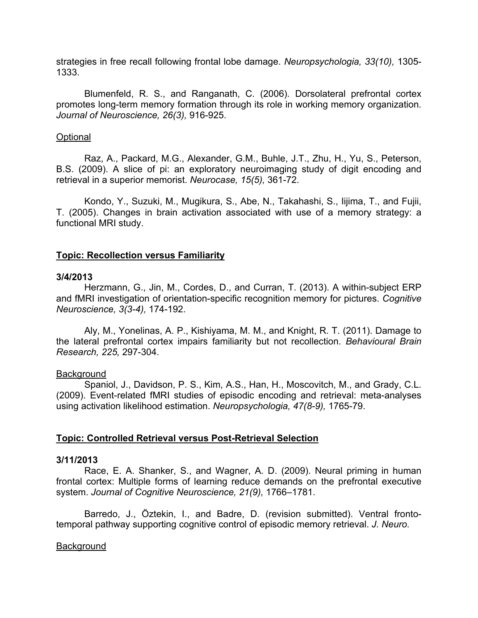strategies in free recall following frontal lobe damage. *Neuropsychologia, 33(10),* 1305- 1333.

Blumenfeld, R. S., and Ranganath, C. (2006). Dorsolateral prefrontal cortex promotes long-term memory formation through its role in working memory organization. *Journal of Neuroscience, 26(3),* 916-925.

### **Optional**

Raz, A., Packard, M.G., Alexander, G.M., Buhle, J.T., Zhu, H., Yu, S., Peterson, B.S. (2009). A slice of pi: an exploratory neuroimaging study of digit encoding and retrieval in a superior memorist. *Neurocase, 15(5),* 361-72.

Kondo, Y., Suzuki, M., Mugikura, S., Abe, N., Takahashi, S., Iijima, T., and Fujii, T. (2005). Changes in brain activation associated with use of a memory strategy: a functional MRI study.

## **Topic: Recollection versus Familiarity**

### **3/4/2013**

Herzmann, G., Jin, M., Cordes, D., and Curran, T. (2013). A within-subject ERP and fMRI investigation of orientation-specific recognition memory for pictures. *Cognitive Neuroscience, 3(3-4),* 174-192.

Aly, M., Yonelinas, A. P., Kishiyama, M. M., and Knight, R. T. (2011). Damage to the lateral prefrontal cortex impairs familiarity but not recollection. *Behavioural Brain Research, 225,* 297-304.

### **Background**

Spaniol, J., Davidson, P. S., Kim, A.S., Han, H., Moscovitch, M., and Grady, C.L. (2009). Event-related fMRI studies of episodic encoding and retrieval: meta-analyses using activation likelihood estimation. *Neuropsychologia, 47(8-9),* 1765-79.

# **Topic: Controlled Retrieval versus Post-Retrieval Selection**

### **3/11/2013**

Race, E. A. Shanker, S., and Wagner, A. D. (2009). Neural priming in human frontal cortex: Multiple forms of learning reduce demands on the prefrontal executive system. *Journal of Cognitive Neuroscience, 21(9),* 1766–1781.

Barredo, J., Öztekin, I., and Badre, D. (revision submitted). Ventral frontotemporal pathway supporting cognitive control of episodic memory retrieval. *J. Neuro.*

# Background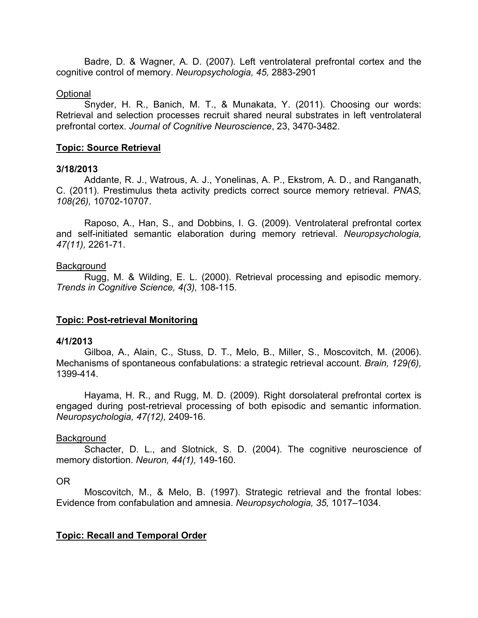Badre, D. & Wagner, A. D. (2007). Left ventrolateral prefrontal cortex and the cognitive control of memory. *Neuropsychologia, 45,* 2883-2901

#### **Optional**

Snyder, H. R., Banich, M. T., & Munakata, Y. (2011). Choosing our words: Retrieval and selection processes recruit shared neural substrates in left ventrolateral prefrontal cortex. *Journal of Cognitive Neuroscience*, 23, 3470-3482.

### **Topic: Source Retrieval**

### **3/18/2013**

Addante, R. J., Watrous, A. J., Yonelinas, A. P., Ekstrom, A. D., and Ranganath, C. (2011). Prestimulus theta activity predicts correct source memory retrieval. *PNAS, 108(26),* 10702-10707.

Raposo, A., Han, S., and Dobbins, I. G. (2009). Ventrolateral prefrontal cortex and self-initiated semantic elaboration during memory retrieval. *Neuropsychologia, 47(11),* 2261-71.

#### **Background**

Rugg, M. & Wilding, E. L. (2000). Retrieval processing and episodic memory. *Trends in Cognitive Science, 4(3),* 108-115.

### **Topic: Post-retrieval Monitoring**

### **4/1/2013**

Gilboa, A., Alain, C., Stuss, D. T., Melo, B., Miller, S., Moscovitch, M. (2006). Mechanisms of spontaneous confabulations: a strategic retrieval account. *Brain, 129(6),* 1399-414.

Hayama, H. R., and Rugg, M. D. (2009). Right dorsolateral prefrontal cortex is engaged during post-retrieval processing of both episodic and semantic information. *Neuropsychologia, 47(12),* 2409-16.

### **Background**

Schacter, D. L., and Slotnick, S. D. (2004). The cognitive neuroscience of memory distortion. *Neuron, 44(1),* 149-160.

## OR

Moscovitch, M., & Melo, B. (1997). Strategic retrieval and the frontal lobes: Evidence from confabulation and amnesia. *Neuropsychologia, 35,* 1017–1034.

### **Topic: Recall and Temporal Order**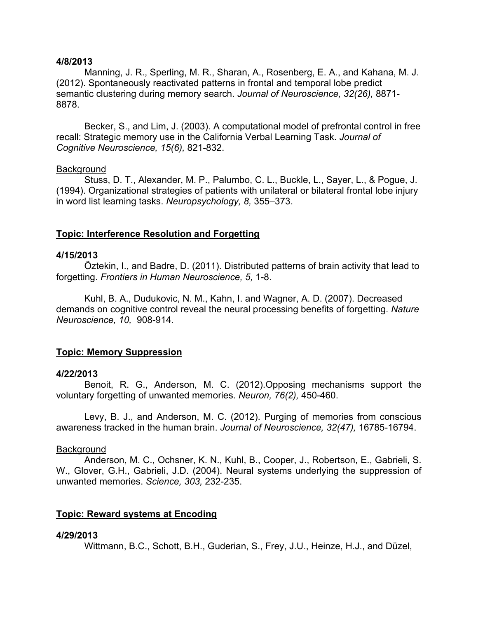#### **4/8/2013**

Manning, J. R., Sperling, M. R., Sharan, A., Rosenberg, E. A., and Kahana, M. J. (2012). Spontaneously reactivated patterns in frontal and temporal lobe predict semantic clustering during memory search. *Journal of Neuroscience, 32(26),* 8871- 8878.

Becker, S., and Lim, J. (2003). A computational model of prefrontal control in free recall: Strategic memory use in the California Verbal Learning Task. *Journal of Cognitive Neuroscience, 15(6),* 821-832.

#### **Background**

Stuss, D. T., Alexander, M. P., Palumbo, C. L., Buckle, L., Sayer, L., & Pogue, J. (1994). Organizational strategies of patients with unilateral or bilateral frontal lobe injury in word list learning tasks. *Neuropsychology, 8,* 355–373.

## **Topic: Interference Resolution and Forgetting**

#### **4/15/2013**

Öztekin, I., and Badre, D. (2011). Distributed patterns of brain activity that lead to forgetting. *Frontiers in Human Neuroscience, 5,* 1-8.

Kuhl, B. A., Dudukovic, N. M., Kahn, I. and Wagner, A. D. (2007). Decreased demands on cognitive control reveal the neural processing benefits of forgetting. *Nature Neuroscience, 10,* 908-914*.*

### **Topic: Memory Suppression**

#### **4/22/2013**

Benoit, R. G., Anderson, M. C. (2012).Opposing mechanisms support the voluntary forgetting of unwanted memories. *Neuron, 76(2),* 450-460.

Levy, B. J., and Anderson, M. C. (2012). Purging of memories from conscious awareness tracked in the human brain. *Journal of Neuroscience, 32(47),* 16785-16794.

#### **Background**

Anderson, M. C., Ochsner, K. N., Kuhl, B., Cooper, J., Robertson, E., Gabrieli, S. W., Glover, G.H., Gabrieli, J.D. (2004). Neural systems underlying the suppression of unwanted memories. *Science, 303,* 232-235.

### **Topic: Reward systems at Encoding**

### **4/29/2013**

Wittmann, B.C., Schott, B.H., Guderian, S., Frey, J.U., Heinze, H.J., and Düzel,